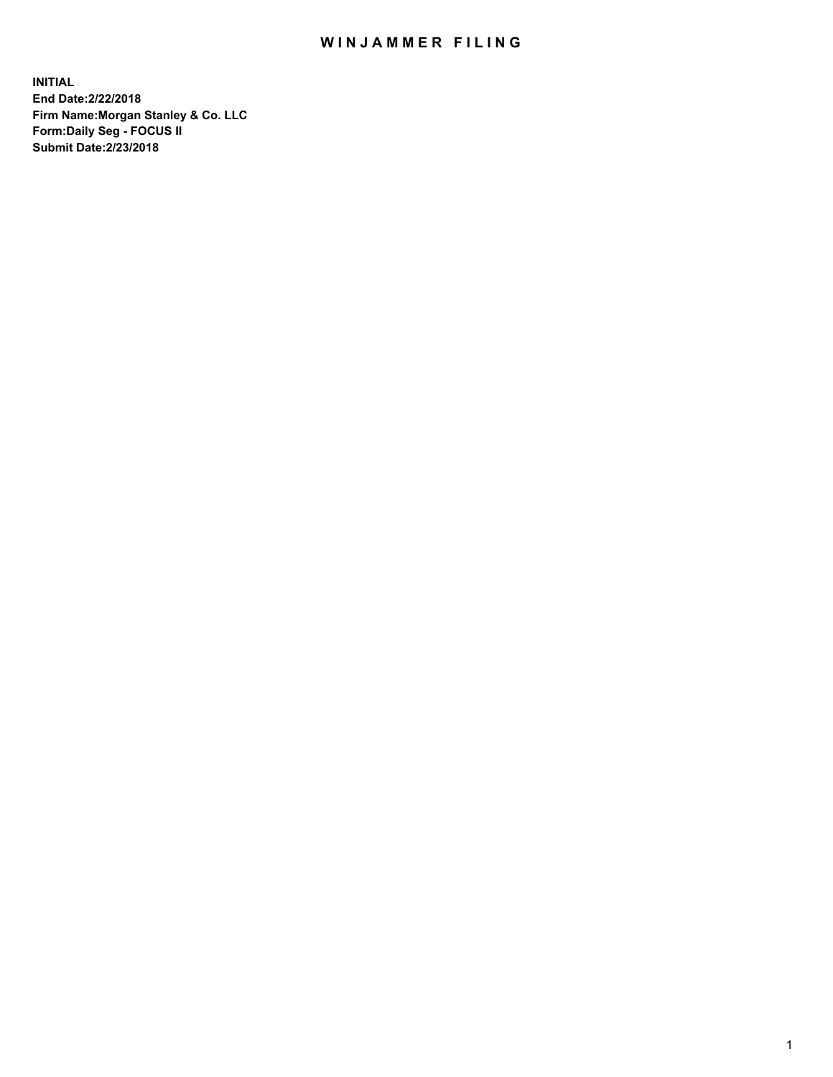## WIN JAMMER FILING

**INITIAL End Date:2/22/2018 Firm Name:Morgan Stanley & Co. LLC Form:Daily Seg - FOCUS II Submit Date:2/23/2018**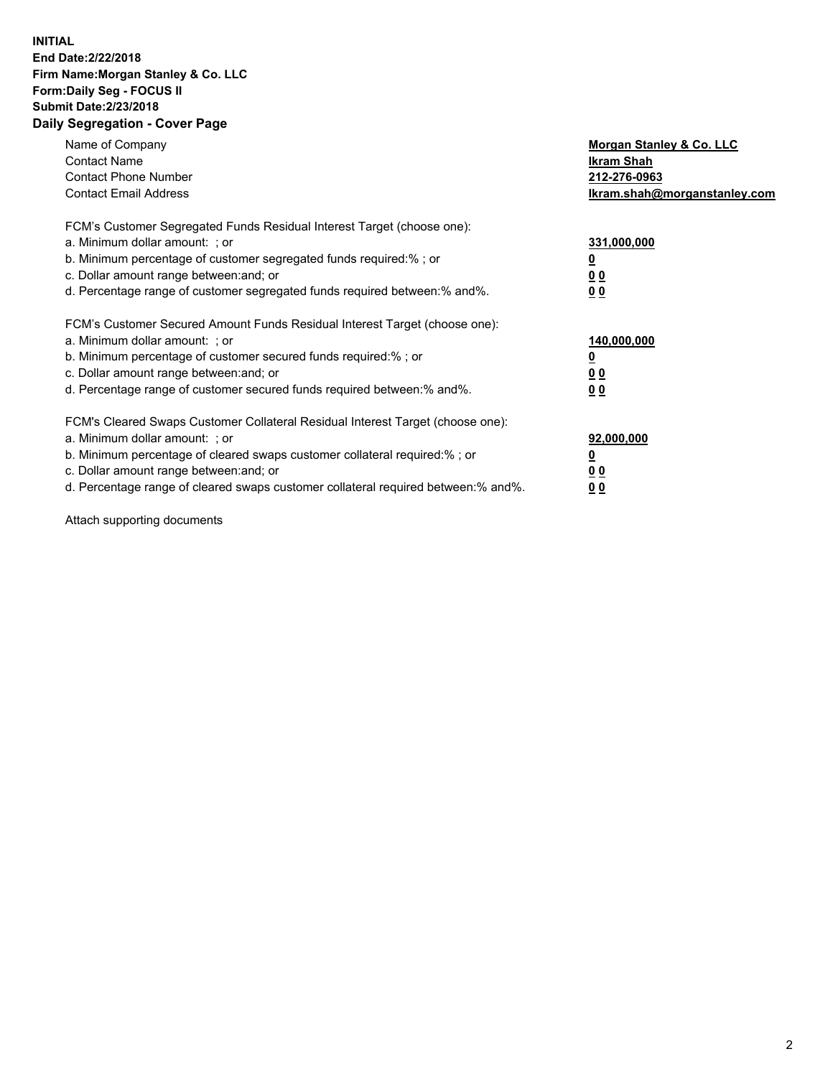## **INITIAL End Date:2/22/2018 Firm Name:Morgan Stanley & Co. LLC Form:Daily Seg - FOCUS II Submit Date:2/23/2018 Daily Segregation - Cover Page**

| Name of Company<br><b>Contact Name</b><br><b>Contact Phone Number</b><br><b>Contact Email Address</b>                                                                                                                                                                                                                          | Morgan Stanley & Co. LLC<br>Ikram Shah<br>212-276-0963<br>lkram.shah@morganstanley.com |
|--------------------------------------------------------------------------------------------------------------------------------------------------------------------------------------------------------------------------------------------------------------------------------------------------------------------------------|----------------------------------------------------------------------------------------|
| FCM's Customer Segregated Funds Residual Interest Target (choose one):<br>a. Minimum dollar amount: ; or<br>b. Minimum percentage of customer segregated funds required:%; or<br>c. Dollar amount range between: and; or<br>d. Percentage range of customer segregated funds required between: % and %.                        | 331,000,000<br>0 <sub>0</sub><br>00                                                    |
| FCM's Customer Secured Amount Funds Residual Interest Target (choose one):<br>a. Minimum dollar amount: ; or<br>b. Minimum percentage of customer secured funds required:%; or<br>c. Dollar amount range between: and; or<br>d. Percentage range of customer secured funds required between:% and%.                            | 140,000,000<br>0 <sub>0</sub><br>0 <sub>0</sub>                                        |
| FCM's Cleared Swaps Customer Collateral Residual Interest Target (choose one):<br>a. Minimum dollar amount: ; or<br>b. Minimum percentage of cleared swaps customer collateral required:% ; or<br>c. Dollar amount range between: and; or<br>d. Percentage range of cleared swaps customer collateral required between:% and%. | 92,000,000<br>0 <sub>0</sub><br>0 <sub>0</sub>                                         |

Attach supporting documents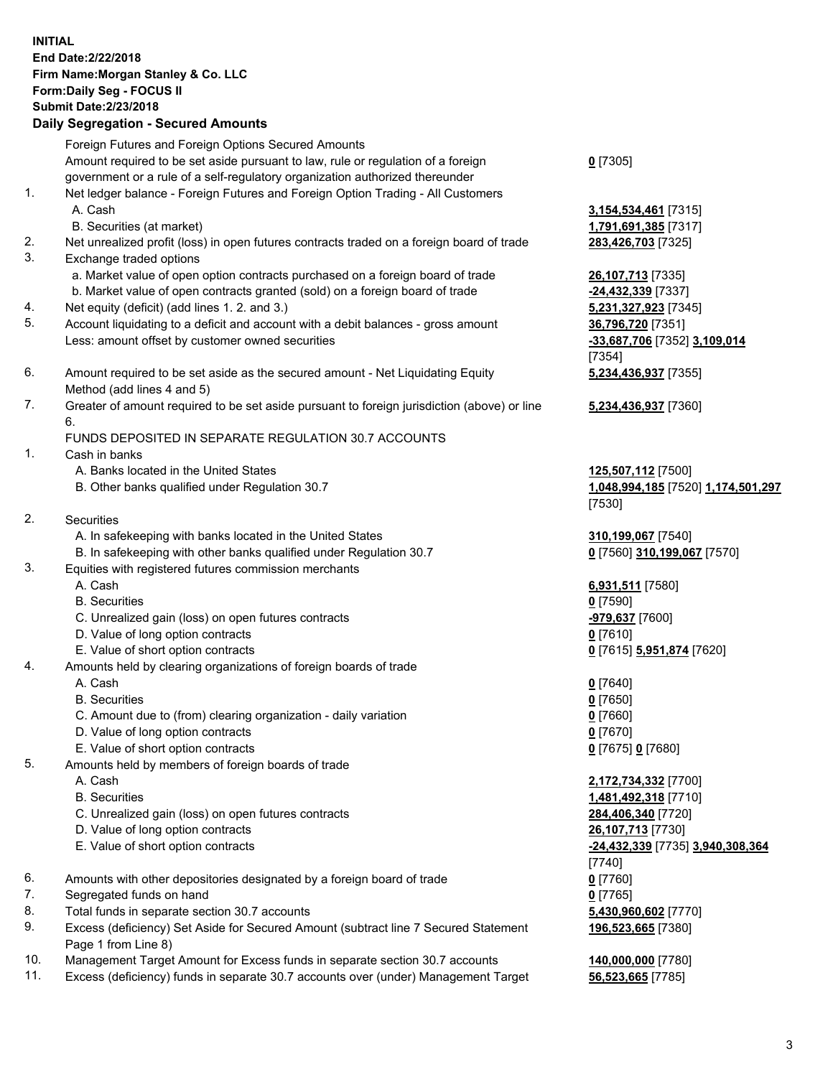## **INITIAL End Date:2/22/2018 Firm Name:Morgan Stanley & Co. LLC Form:Daily Seg - FOCUS II Submit Date:2/23/2018 Daily Segregation - Secured Amounts**

Foreign Futures and Foreign Options Secured Amounts Amount required to be set aside pursuant to law, rule or regulation of a foreign

- government or a rule of a self-regulatory organization authorized thereunder
- 1. Net ledger balance Foreign Futures and Foreign Option Trading All Customers A. Cash **3,154,534,461** [7315]
	- B. Securities (at market) **1,791,691,385** [7317]
- 2. Net unrealized profit (loss) in open futures contracts traded on a foreign board of trade **283,426,703** [7325]
- 3. Exchange traded options
	- a. Market value of open option contracts purchased on a foreign board of trade **26,107,713** [7335]
	- b. Market value of open contracts granted (sold) on a foreign board of trade **-24,432,339** [7337]
- 4. Net equity (deficit) (add lines 1. 2. and 3.) **5,231,327,923** [7345]
- 5. Account liquidating to a deficit and account with a debit balances gross amount **36,796,720** [7351] Less: amount offset by customer owned securities **-33,687,706** [7352] **3,109,014**
- 6. Amount required to be set aside as the secured amount Net Liquidating Equity Method (add lines 4 and 5)
- 7. Greater of amount required to be set aside pursuant to foreign jurisdiction (above) or line 6.

## FUNDS DEPOSITED IN SEPARATE REGULATION 30.7 ACCOUNTS

- 1. Cash in banks
	- A. Banks located in the United States **125,507,112** [7500]
	- B. Other banks qualified under Regulation 30.7 **1,048,994,185** [7520] **1,174,501,297**
- 2. Securities
	- A. In safekeeping with banks located in the United States **310,199,067** [7540]
	- B. In safekeeping with other banks qualified under Regulation 30.7 **0** [7560] **310,199,067** [7570]
- 3. Equities with registered futures commission merchants
	-
	-
	- C. Unrealized gain (loss) on open futures contracts **-979,637** [7600]
	- D. Value of long option contracts **0** [7610]
- E. Value of short option contracts **0** [7615] **5,951,874** [7620]
- 4. Amounts held by clearing organizations of foreign boards of trade
	-
	-
	- C. Amount due to (from) clearing organization daily variation **0** [7660]
	- D. Value of long option contracts **0** [7670]
	- E. Value of short option contracts **0** [7675] **0** [7680]
- 5. Amounts held by members of foreign boards of trade
	-
	-
	- C. Unrealized gain (loss) on open futures contracts **284,406,340** [7720]
	- D. Value of long option contracts **26,107,713** [7730]
	- E. Value of short option contracts **-24,432,339** [7735] **3,940,308,364**
- 6. Amounts with other depositories designated by a foreign board of trade **0** [7760]
- 7. Segregated funds on hand **0** [7765]
- 8. Total funds in separate section 30.7 accounts **5,430,960,602** [7770]
- 9. Excess (deficiency) Set Aside for Secured Amount (subtract line 7 Secured Statement Page 1 from Line 8)
- 10. Management Target Amount for Excess funds in separate section 30.7 accounts **140,000,000** [7780]
- 11. Excess (deficiency) funds in separate 30.7 accounts over (under) Management Target **56,523,665** [7785]

**0** [7305]

[7354] **5,234,436,937** [7355]

**5,234,436,937** [7360]

[7530]

 A. Cash **6,931,511** [7580] B. Securities **0** [7590]

 A. Cash **0** [7640] B. Securities **0** [7650]

 A. Cash **2,172,734,332** [7700] B. Securities **1,481,492,318** [7710] [7740] **196,523,665** [7380]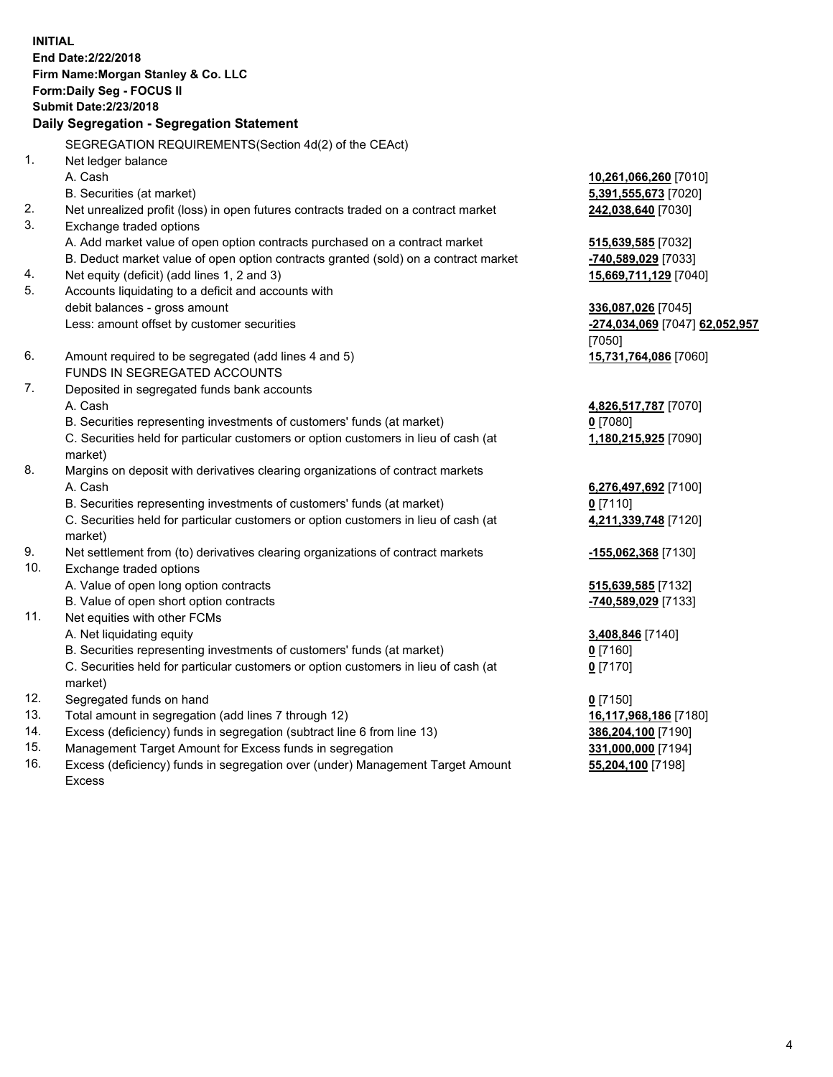**INITIAL End Date:2/22/2018 Firm Name:Morgan Stanley & Co. LLC Form:Daily Seg - FOCUS II Submit Date:2/23/2018 Daily Segregation - Segregation Statement** SEGREGATION REQUIREMENTS(Section 4d(2) of the CEAct) 1. Net ledger balance A. Cash **10,261,066,260** [7010] B. Securities (at market) **5,391,555,673** [7020] 2. Net unrealized profit (loss) in open futures contracts traded on a contract market **242,038,640** [7030] 3. Exchange traded options A. Add market value of open option contracts purchased on a contract market **515,639,585** [7032] B. Deduct market value of open option contracts granted (sold) on a contract market **-740,589,029** [7033] 4. Net equity (deficit) (add lines 1, 2 and 3) **15,669,711,129** [7040] 5. Accounts liquidating to a deficit and accounts with debit balances - gross amount **336,087,026** [7045] Less: amount offset by customer securities **-274,034,069** [7047] **62,052,957** [7050] 6. Amount required to be segregated (add lines 4 and 5) **15,731,764,086** [7060] FUNDS IN SEGREGATED ACCOUNTS 7. Deposited in segregated funds bank accounts A. Cash **4,826,517,787** [7070] B. Securities representing investments of customers' funds (at market) **0** [7080] C. Securities held for particular customers or option customers in lieu of cash (at market) **1,180,215,925** [7090] 8. Margins on deposit with derivatives clearing organizations of contract markets A. Cash **6,276,497,692** [7100] B. Securities representing investments of customers' funds (at market) **0** [7110] C. Securities held for particular customers or option customers in lieu of cash (at market) **4,211,339,748** [7120] 9. Net settlement from (to) derivatives clearing organizations of contract markets **-155,062,368** [7130] 10. Exchange traded options A. Value of open long option contracts **515,639,585** [7132] B. Value of open short option contracts **-740,589,029** [7133] 11. Net equities with other FCMs A. Net liquidating equity **3,408,846** [7140] B. Securities representing investments of customers' funds (at market) **0** [7160] C. Securities held for particular customers or option customers in lieu of cash (at market) **0** [7170] 12. Segregated funds on hand **0** [7150] 13. Total amount in segregation (add lines 7 through 12) **16,117,968,186** [7180] 14. Excess (deficiency) funds in segregation (subtract line 6 from line 13) **386,204,100** [7190] 15. Management Target Amount for Excess funds in segregation **331,000,000** [7194]

16. Excess (deficiency) funds in segregation over (under) Management Target Amount Excess

**55,204,100** [7198]